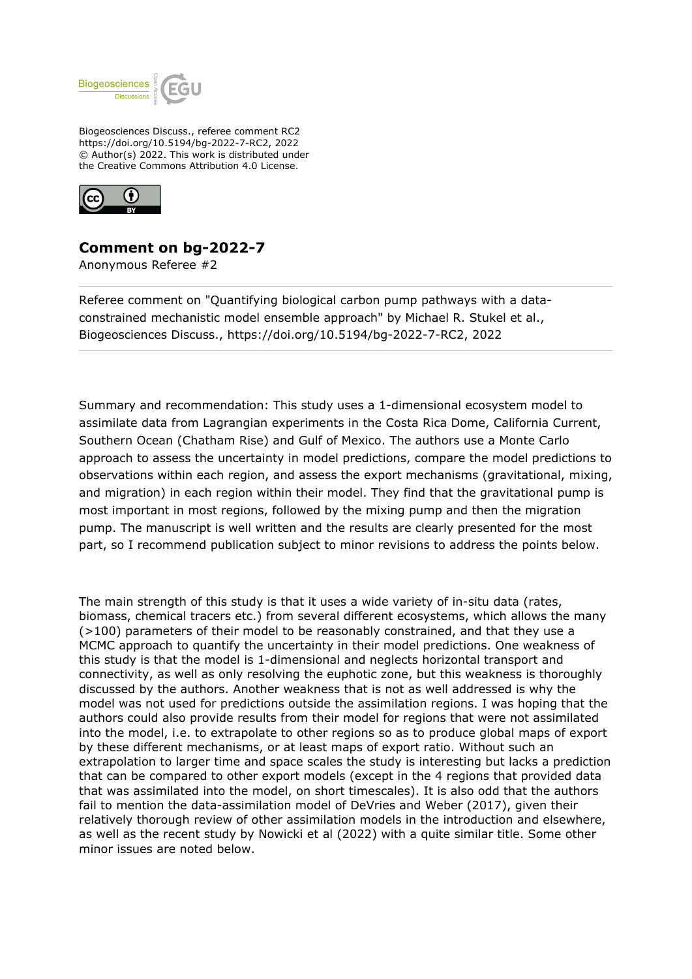

Biogeosciences Discuss., referee comment RC2 https://doi.org/10.5194/bg-2022-7-RC2, 2022 © Author(s) 2022. This work is distributed under the Creative Commons Attribution 4.0 License.



## **Comment on bg-2022-7**

Anonymous Referee #2

Referee comment on "Quantifying biological carbon pump pathways with a dataconstrained mechanistic model ensemble approach" by Michael R. Stukel et al., Biogeosciences Discuss., https://doi.org/10.5194/bg-2022-7-RC2, 2022

Summary and recommendation: This study uses a 1-dimensional ecosystem model to assimilate data from Lagrangian experiments in the Costa Rica Dome, California Current, Southern Ocean (Chatham Rise) and Gulf of Mexico. The authors use a Monte Carlo approach to assess the uncertainty in model predictions, compare the model predictions to observations within each region, and assess the export mechanisms (gravitational, mixing, and migration) in each region within their model. They find that the gravitational pump is most important in most regions, followed by the mixing pump and then the migration pump. The manuscript is well written and the results are clearly presented for the most part, so I recommend publication subject to minor revisions to address the points below.

The main strength of this study is that it uses a wide variety of in-situ data (rates, biomass, chemical tracers etc.) from several different ecosystems, which allows the many (>100) parameters of their model to be reasonably constrained, and that they use a MCMC approach to quantify the uncertainty in their model predictions. One weakness of this study is that the model is 1-dimensional and neglects horizontal transport and connectivity, as well as only resolving the euphotic zone, but this weakness is thoroughly discussed by the authors. Another weakness that is not as well addressed is why the model was not used for predictions outside the assimilation regions. I was hoping that the authors could also provide results from their model for regions that were not assimilated into the model, i.e. to extrapolate to other regions so as to produce global maps of export by these different mechanisms, or at least maps of export ratio. Without such an extrapolation to larger time and space scales the study is interesting but lacks a prediction that can be compared to other export models (except in the 4 regions that provided data that was assimilated into the model, on short timescales). It is also odd that the authors fail to mention the data-assimilation model of DeVries and Weber (2017), given their relatively thorough review of other assimilation models in the introduction and elsewhere, as well as the recent study by Nowicki et al (2022) with a quite similar title. Some other minor issues are noted below.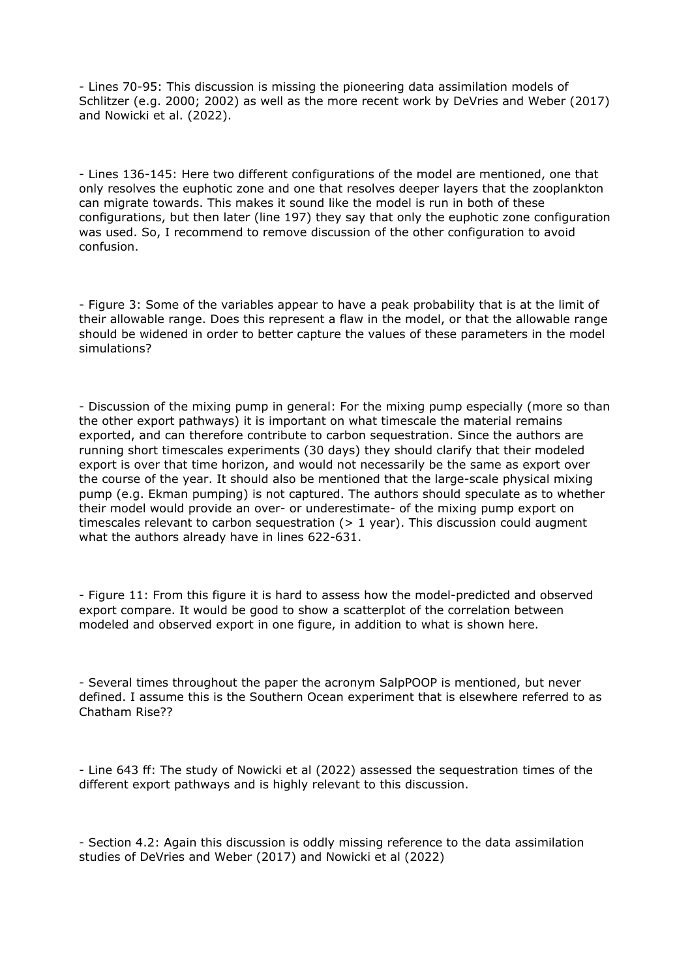- Lines 70-95: This discussion is missing the pioneering data assimilation models of Schlitzer (e.g. 2000; 2002) as well as the more recent work by DeVries and Weber (2017) and Nowicki et al. (2022).

- Lines 136-145: Here two different configurations of the model are mentioned, one that only resolves the euphotic zone and one that resolves deeper layers that the zooplankton can migrate towards. This makes it sound like the model is run in both of these configurations, but then later (line 197) they say that only the euphotic zone configuration was used. So, I recommend to remove discussion of the other configuration to avoid confusion.

- Figure 3: Some of the variables appear to have a peak probability that is at the limit of their allowable range. Does this represent a flaw in the model, or that the allowable range should be widened in order to better capture the values of these parameters in the model simulations?

- Discussion of the mixing pump in general: For the mixing pump especially (more so than the other export pathways) it is important on what timescale the material remains exported, and can therefore contribute to carbon sequestration. Since the authors are running short timescales experiments (30 days) they should clarify that their modeled export is over that time horizon, and would not necessarily be the same as export over the course of the year. It should also be mentioned that the large-scale physical mixing pump (e.g. Ekman pumping) is not captured. The authors should speculate as to whether their model would provide an over- or underestimate- of the mixing pump export on timescales relevant to carbon sequestration  $(> 1$  year). This discussion could augment what the authors already have in lines 622-631.

- Figure 11: From this figure it is hard to assess how the model-predicted and observed export compare. It would be good to show a scatterplot of the correlation between modeled and observed export in one figure, in addition to what is shown here.

- Several times throughout the paper the acronym SalpPOOP is mentioned, but never defined. I assume this is the Southern Ocean experiment that is elsewhere referred to as Chatham Rise??

- Line 643 ff: The study of Nowicki et al (2022) assessed the sequestration times of the different export pathways and is highly relevant to this discussion.

- Section 4.2: Again this discussion is oddly missing reference to the data assimilation studies of DeVries and Weber (2017) and Nowicki et al (2022)